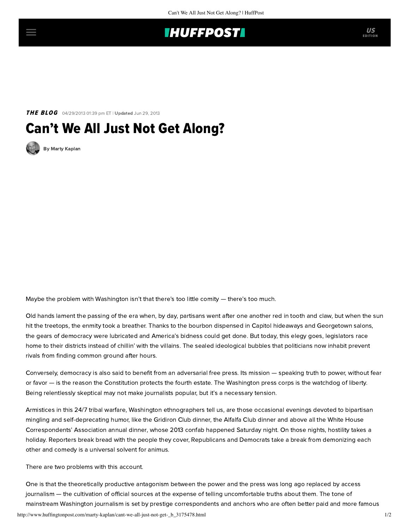

**THE BLOG** 04/29/2013 01:39 pm ET | Updated Jun 29, 2013

## Can't We All Just Not Get Along?

[By Marty Kaplan](http://www.huffingtonpost.com/author/marty-kaplan)

Maybe the problem with Washington isn't that there's too little comity — there's too much.

Old hands lament the passing of the era when, by day, partisans went after one another red in tooth and claw, but when the sun hit the treetops, the enmity took a breather. Thanks to the bourbon dispensed in Capitol hideaways and Georgetown salons, the gears of democracy were lubricated and America's bidness could get done. But today, this elegy goes, legislators race home to their districts instead of chillin' with the villains. The sealed ideological bubbles that politicians now inhabit prevent rivals from finding common ground after hours.

Conversely, democracy is also said to benefit from an adversarial free press. Its mission — speaking truth to power, without fear or favor — is the reason the Constitution protects the fourth estate. The Washington press corps is the watchdog of liberty. Being relentlessly skeptical may not make journalists popular, but it's a necessary tension.

Armistices in this 24/7 tribal warfare, Washington ethnographers tell us, are those occasional evenings devoted to bipartisan mingling and self-deprecating humor, like the Gridiron Club dinner, the Alfalfa Club dinner and above all the White House Correspondents' [Association annual dinner, whose 2013 confab happened Saturday night. On those nights, hostility takes](http://www.c-span.org/WHCD/) a holiday. Reporters break bread with the people they cover, Republicans and Democrats take a break from demonizing each other and comedy is a universal solvent for animus.

There are two problems with this account.

One is that the theoretically productive antagonism between the power and the press was long ago replaced by access journalism — the cultivation of official sources at the expense of telling uncomfortable truths about them. The tone of mainstream Washington journalism is set by prestige correspondents and anchors who are often better paid and more famous